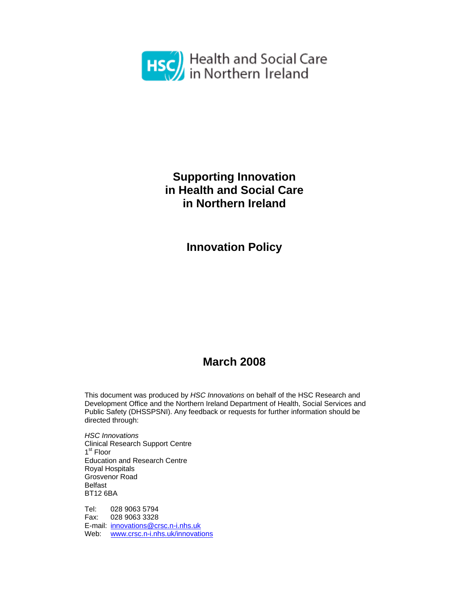

# **Supporting Innovation in Health and Social Care in Northern Ireland**

**Innovation Policy** 

# **March 2008**

This document was produced by *HSC Innovations* on behalf of the HSC Research and Development Office and the Northern Ireland Department of Health, Social Services and Public Safety (DHSSPSNI). Any feedback or requests for further information should be directed through:

*HSC Innovations*  Clinical Research Support Centre 1<sup>st</sup> Floor Education and Research Centre Royal Hospitals Grosvenor Road Belfast BT12 6BA

Tel: 028 9063 5794 Fax: 028 9063 3328 E-mail: innovations@crsc.n-i.nhs.uk Web: www.crsc.n-i.nhs.uk/innovations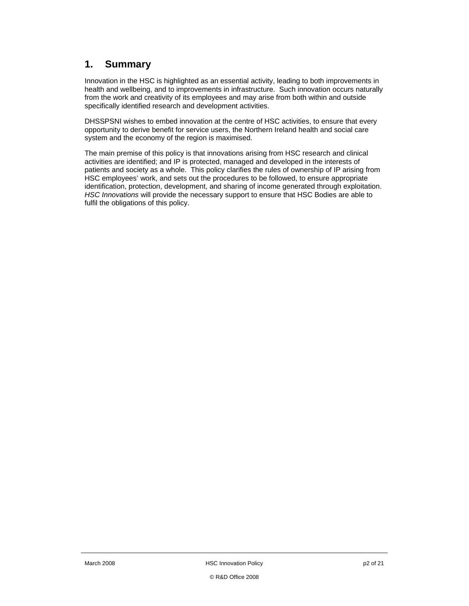### **1. Summary**

Innovation in the HSC is highlighted as an essential activity, leading to both improvements in health and wellbeing, and to improvements in infrastructure. Such innovation occurs naturally from the work and creativity of its employees and may arise from both within and outside specifically identified research and development activities.

DHSSPSNI wishes to embed innovation at the centre of HSC activities, to ensure that every opportunity to derive benefit for service users, the Northern Ireland health and social care system and the economy of the region is maximised.

The main premise of this policy is that innovations arising from HSC research and clinical activities are identified; and IP is protected, managed and developed in the interests of patients and society as a whole. This policy clarifies the rules of ownership of IP arising from HSC employees' work, and sets out the procedures to be followed, to ensure appropriate identification, protection, development, and sharing of income generated through exploitation. *HSC Innovations* will provide the necessary support to ensure that HSC Bodies are able to fulfil the obligations of this policy.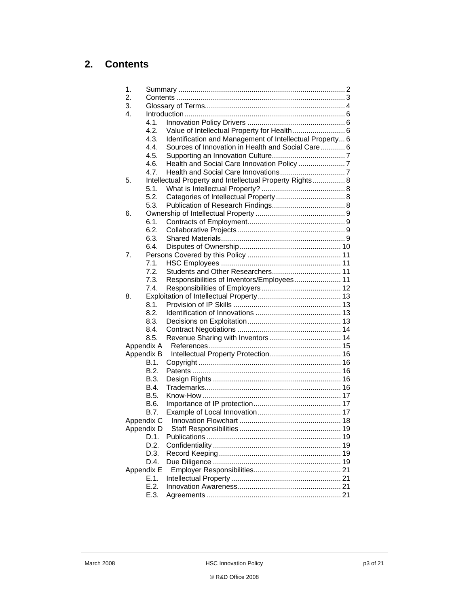## **2. Contents**

| 1.         |            |                                                          |  |  |
|------------|------------|----------------------------------------------------------|--|--|
| 2.         |            |                                                          |  |  |
| 3.         |            |                                                          |  |  |
| 4.         |            |                                                          |  |  |
|            | 4.1.       |                                                          |  |  |
|            | 4.2.       | Value of Intellectual Property for Health 6              |  |  |
|            | 4.3.       | Identification and Management of Intellectual Property 6 |  |  |
|            | 4.4.       | Sources of Innovation in Health and Social Care 6        |  |  |
|            | 4.5.       |                                                          |  |  |
|            | 4.6.       |                                                          |  |  |
|            | 4.7.       |                                                          |  |  |
| 5.         |            | Intellectual Property and Intellectual Property Rights 8 |  |  |
|            | 5.1.       |                                                          |  |  |
|            | 5.2.       |                                                          |  |  |
|            | 5.3.       |                                                          |  |  |
| 6.         |            |                                                          |  |  |
|            | 6.1.       |                                                          |  |  |
|            | 6.2.       |                                                          |  |  |
|            | 6.3.       |                                                          |  |  |
|            | 6.4.       |                                                          |  |  |
| 7.         |            |                                                          |  |  |
|            | 7.1.       |                                                          |  |  |
|            | 7.2.       |                                                          |  |  |
|            | 7.3.       | Responsibilities of Inventors/Employees 11               |  |  |
|            | 7.4.       |                                                          |  |  |
| 8.         |            |                                                          |  |  |
|            | 8.1.       |                                                          |  |  |
|            | 8.2.       |                                                          |  |  |
|            | 8.3.       |                                                          |  |  |
|            | 8.4.       |                                                          |  |  |
|            | 8.5.       |                                                          |  |  |
|            | Appendix A |                                                          |  |  |
|            | Appendix B |                                                          |  |  |
|            | B.1.       |                                                          |  |  |
|            | B.2.       |                                                          |  |  |
|            | B.3.       |                                                          |  |  |
|            | B.4.       |                                                          |  |  |
|            | B.5.       |                                                          |  |  |
|            | B.6.       |                                                          |  |  |
|            | B.7.       |                                                          |  |  |
| Appendix C |            |                                                          |  |  |
|            | Appendix D |                                                          |  |  |
|            | D.1.       |                                                          |  |  |
|            | D.2.       |                                                          |  |  |
|            | D.3.       |                                                          |  |  |
|            | D.4.       |                                                          |  |  |
|            | Appendix E |                                                          |  |  |
|            | E.1.       |                                                          |  |  |
|            | E.2.       |                                                          |  |  |
|            | E.3.       |                                                          |  |  |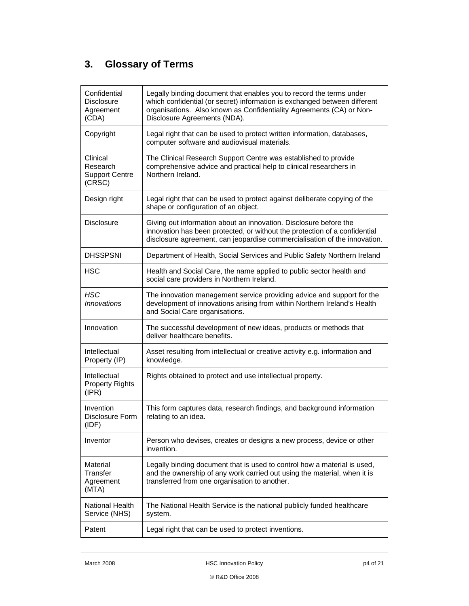# **3. Glossary of Terms**

| Confidential<br><b>Disclosure</b><br>Agreement<br>(CDA) | Legally binding document that enables you to record the terms under<br>which confidential (or secret) information is exchanged between different<br>organisations. Also known as Confidentiality Agreements (CA) or Non-<br>Disclosure Agreements (NDA). |  |  |  |
|---------------------------------------------------------|----------------------------------------------------------------------------------------------------------------------------------------------------------------------------------------------------------------------------------------------------------|--|--|--|
| Copyright                                               | Legal right that can be used to protect written information, databases,<br>computer software and audiovisual materials.                                                                                                                                  |  |  |  |
| Clinical<br>Research<br><b>Support Centre</b><br>(CRSC) | The Clinical Research Support Centre was established to provide<br>comprehensive advice and practical help to clinical researchers in<br>Northern Ireland.                                                                                               |  |  |  |
| Design right                                            | Legal right that can be used to protect against deliberate copying of the<br>shape or configuration of an object.                                                                                                                                        |  |  |  |
| <b>Disclosure</b>                                       | Giving out information about an innovation. Disclosure before the<br>innovation has been protected, or without the protection of a confidential<br>disclosure agreement, can jeopardise commercialisation of the innovation.                             |  |  |  |
| <b>DHSSPSNI</b>                                         | Department of Health, Social Services and Public Safety Northern Ireland                                                                                                                                                                                 |  |  |  |
| <b>HSC</b>                                              | Health and Social Care, the name applied to public sector health and<br>social care providers in Northern Ireland.                                                                                                                                       |  |  |  |
| <b>HSC</b><br><i><b>Innovations</b></i>                 | The innovation management service providing advice and support for the<br>development of innovations arising from within Northern Ireland's Health<br>and Social Care organisations.                                                                     |  |  |  |
| Innovation                                              | The successful development of new ideas, products or methods that<br>deliver healthcare benefits.                                                                                                                                                        |  |  |  |
| Intellectual<br>Property (IP)                           | Asset resulting from intellectual or creative activity e.g. information and<br>knowledge.                                                                                                                                                                |  |  |  |
| Intellectual<br><b>Property Rights</b><br>(IPR)         | Rights obtained to protect and use intellectual property.                                                                                                                                                                                                |  |  |  |
| Invention<br>Disclosure Form<br>(IDF)                   | This form captures data, research findings, and background information<br>relating to an idea.                                                                                                                                                           |  |  |  |
| Inventor                                                | Person who devises, creates or designs a new process, device or other<br>invention.                                                                                                                                                                      |  |  |  |
| Material<br>Transfer<br>Agreement<br>(MTA)              | Legally binding document that is used to control how a material is used,<br>and the ownership of any work carried out using the material, when it is<br>transferred from one organisation to another.                                                    |  |  |  |
| National Health<br>Service (NHS)                        | The National Health Service is the national publicly funded healthcare<br>system.                                                                                                                                                                        |  |  |  |
| Patent                                                  | Legal right that can be used to protect inventions.                                                                                                                                                                                                      |  |  |  |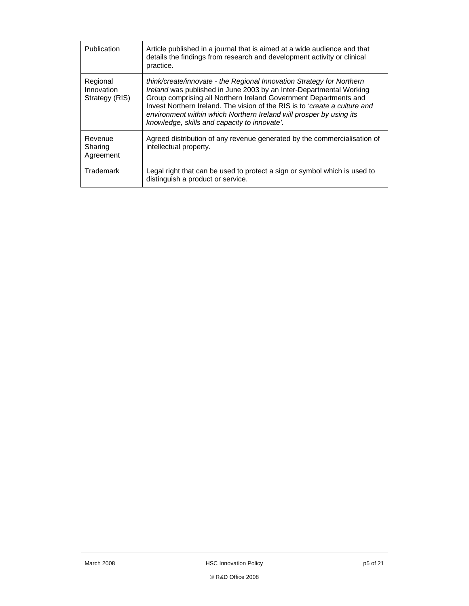| Publication                              | Article published in a journal that is aimed at a wide audience and that<br>details the findings from research and development activity or clinical<br>practice.                                                                                                                                                                                                                                                             |
|------------------------------------------|------------------------------------------------------------------------------------------------------------------------------------------------------------------------------------------------------------------------------------------------------------------------------------------------------------------------------------------------------------------------------------------------------------------------------|
| Regional<br>Innovation<br>Strategy (RIS) | think/create/innovate - the Regional Innovation Strategy for Northern<br>Ireland was published in June 2003 by an Inter-Departmental Working<br>Group comprising all Northern Ireland Government Departments and<br>Invest Northern Ireland. The vision of the RIS is to <i>'create a culture and</i><br>environment within which Northern Ireland will prosper by using its<br>knowledge, skills and capacity to innovate'. |
| Revenue<br>Sharing<br>Agreement          | Agreed distribution of any revenue generated by the commercialisation of<br>intellectual property.                                                                                                                                                                                                                                                                                                                           |
| Trademark                                | Legal right that can be used to protect a sign or symbol which is used to<br>distinguish a product or service.                                                                                                                                                                                                                                                                                                               |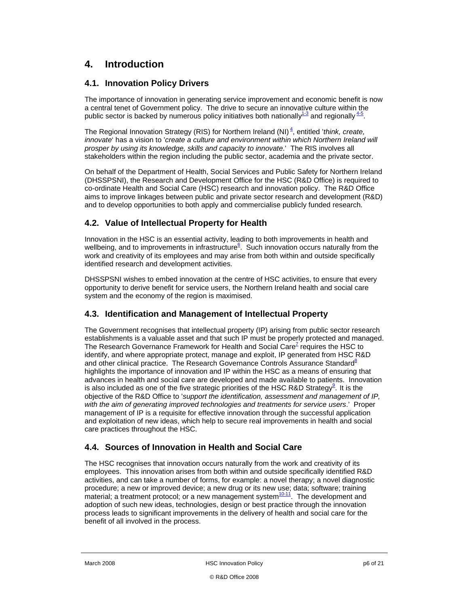### **4. Introduction**

#### **4.1. Innovation Policy Drivers**

The importance of innovation in generating service improvement and economic benefit is now a central tenet of Government policy. The drive to secure an innovative culture within the public sector is backed by numerous policy initiatives both nationally  $4-3$  and regionally  $4-5$ .

The Regional Innovation Strategy (RIS) for Northern Ireland (NI)<sup>4</sup>, entitled '*think, create, innovate*' has a vision to '*create a culture and environment within which Northern Ireland will prosper by using its knowledge, skills and capacity to innovate*.' The RIS involves all stakeholders within the region including the public sector, academia and the private sector.

On behalf of the Department of Health, Social Services and Public Safety for Northern Ireland (DHSSPSNI), the Research and Development Office for the HSC (R&D Office) is required to co-ordinate Health and Social Care (HSC) research and innovation policy. The R&D Office aims to improve linkages between public and private sector research and development (R&D) and to develop opportunities to both apply and commercialise publicly funded research.

#### **4.2. Value of Intellectual Property for Health**

Innovation in the HSC is an essential activity, leading to both improvements in health and wellbeing, and to improvements in infrastructure<sup>6</sup>. Such innovation occurs naturally from the work and creativity of its employees and may arise from both within and outside specifically identified research and development activities.

DHSSPSNI wishes to embed innovation at the centre of HSC activities, to ensure that every opportunity to derive benefit for service users, the Northern Ireland health and social care system and the economy of the region is maximised.

#### **4.3. Identification and Management of Intellectual Property**

The Government recognises that intellectual property (IP) arising from public sector research establishments is a valuable asset and that such IP must be properly protected and managed. The Research Governance Framework for Health and Social Care<sup> $Z$ </sup> requires the HSC to identify, and where appropriate protect, manage and exploit, IP generated from HSC R&D and other clinical practice. The Research Governance Controls Assurance Standard<sup>8</sup> highlights the importance of innovation and IP within the HSC as a means of ensuring that advances in health and social care are developed and made available to patients. Innovation is also included as one of the five strategic priorities of the HSC R&D Strategy $^9$ . It is the objective of the R&D Office to '*support the identification, assessment and management of IP, with the aim of generating improved technologies and treatments for service users*.' Proper management of IP is a requisite for effective innovation through the successful application and exploitation of new ideas, which help to secure real improvements in health and social care practices throughout the HSC.

#### **4.4. Sources of Innovation in Health and Social Care**

The HSC recognises that innovation occurs naturally from the work and creativity of its employees. This innovation arises from both within and outside specifically identified R&D activities, and can take a number of forms, for example: a novel therapy; a novel diagnostic procedure; a new or improved device; a new drug or its new use; data; software; training material; a treatment protocol; or a new management system $10-11$ . The development and adoption of such new ideas, technologies, design or best practice through the innovation process leads to significant improvements in the delivery of health and social care for the benefit of all involved in the process.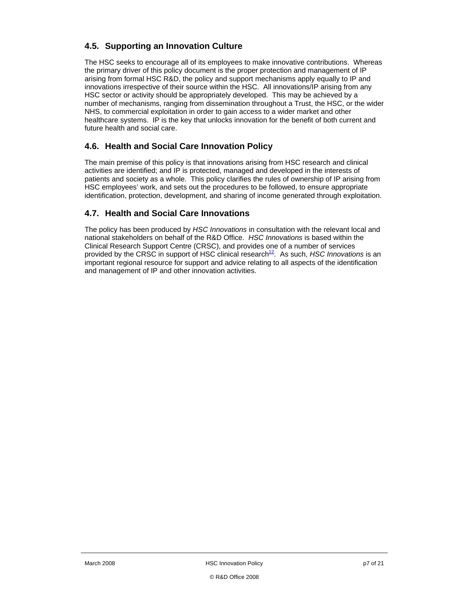### **4.5. Supporting an Innovation Culture**

The HSC seeks to encourage all of its employees to make innovative contributions. Whereas the primary driver of this policy document is the proper protection and management of IP arising from formal HSC R&D, the policy and support mechanisms apply equally to IP and innovations irrespective of their source within the HSC. All innovations/IP arising from any HSC sector or activity should be appropriately developed. This may be achieved by a number of mechanisms, ranging from dissemination throughout a Trust, the HSC, or the wider NHS, to commercial exploitation in order to gain access to a wider market and other healthcare systems. IP is the key that unlocks innovation for the benefit of both current and future health and social care.

#### **4.6. Health and Social Care Innovation Policy**

The main premise of this policy is that innovations arising from HSC research and clinical activities are identified; and IP is protected, managed and developed in the interests of patients and society as a whole. This policy clarifies the rules of ownership of IP arising from HSC employees' work, and sets out the procedures to be followed, to ensure appropriate identification, protection, development, and sharing of income generated through exploitation.

#### **4.7. Health and Social Care Innovations**

The policy has been produced by *HSC Innovations* in consultation with the relevant local and national stakeholders on behalf of the R&D Office. *HSC Innovations* is based within the Clinical Research Support Centre (CRSC), and provides one of a number of services provided by the CRSC in support of HSC clinical research<sup>12</sup>. As such, *HSC Innovations* is an important regional resource for support and advice relating to all aspects of the identification and management of IP and other innovation activities.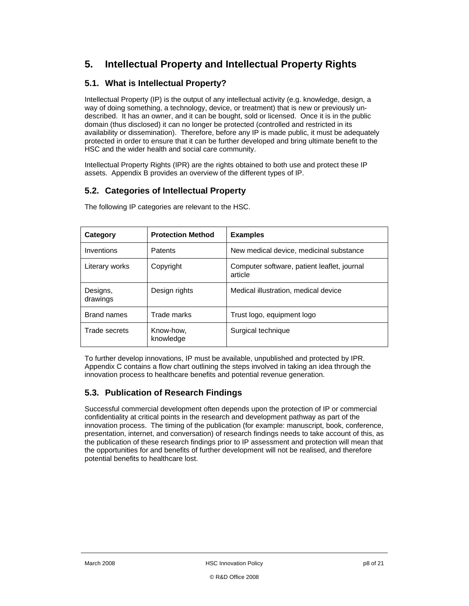### **5. Intellectual Property and Intellectual Property Rights**

#### **5.1. What is Intellectual Property?**

Intellectual Property (IP) is the output of any intellectual activity (e.g. knowledge, design, a way of doing something, a technology, device, or treatment) that is new or previously undescribed. It has an owner, and it can be bought, sold or licensed. Once it is in the public domain (thus disclosed) it can no longer be protected (controlled and restricted in its availability or dissemination). Therefore, before any IP is made public, it must be adequately protected in order to ensure that it can be further developed and bring ultimate benefit to the HSC and the wider health and social care community.

Intellectual Property Rights (IPR) are the rights obtained to both use and protect these IP assets. Appendix B provides an overview of the different types of IP.

#### **5.2. Categories of Intellectual Property**

| Category             | <b>Protection Method</b> | <b>Examples</b>                                        |  |
|----------------------|--------------------------|--------------------------------------------------------|--|
| Inventions           | Patents                  | New medical device, medicinal substance                |  |
| Literary works       | Copyright                | Computer software, patient leaflet, journal<br>article |  |
| Designs,<br>drawings | Design rights            | Medical illustration, medical device                   |  |
| <b>Brand names</b>   | Trade marks              | Trust logo, equipment logo                             |  |
| Trade secrets        | Know-how,<br>knowledge   | Surgical technique                                     |  |

The following IP categories are relevant to the HSC.

To further develop innovations, IP must be available, unpublished and protected by IPR. Appendix C contains a flow chart outlining the steps involved in taking an idea through the innovation process to healthcare benefits and potential revenue generation.

#### **5.3. Publication of Research Findings**

Successful commercial development often depends upon the protection of IP or commercial confidentiality at critical points in the research and development pathway as part of the innovation process. The timing of the publication (for example: manuscript, book, conference, presentation, internet, and conversation) of research findings needs to take account of this, as the publication of these research findings prior to IP assessment and protection will mean that the opportunities for and benefits of further development will not be realised, and therefore potential benefits to healthcare lost.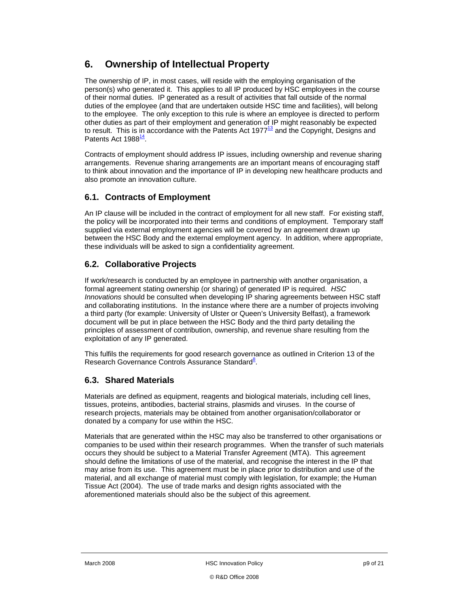### **6. Ownership of Intellectual Property**

The ownership of IP, in most cases, will reside with the employing organisation of the person(s) who generated it. This applies to all IP produced by HSC employees in the course of their normal duties. IP generated as a result of activities that fall outside of the normal duties of the employee (and that are undertaken outside HSC time and facilities), will belong to the employee. The only exception to this rule is where an employee is directed to perform other duties as part of their employment and generation of IP might reasonably be expected to result. This is in accordance with the Patents Act 1977 $<sup>13</sup>$  and the Copyright, Designs and</sup> Patents Act 1988<sup>14</sup>.

Contracts of employment should address IP issues, including ownership and revenue sharing arrangements. Revenue sharing arrangements are an important means of encouraging staff to think about innovation and the importance of IP in developing new healthcare products and also promote an innovation culture.

#### **6.1. Contracts of Employment**

An IP clause will be included in the contract of employment for all new staff. For existing staff, the policy will be incorporated into their terms and conditions of employment. Temporary staff supplied via external employment agencies will be covered by an agreement drawn up between the HSC Body and the external employment agency. In addition, where appropriate, these individuals will be asked to sign a confidentiality agreement.

### **6.2. Collaborative Projects**

If work/research is conducted by an employee in partnership with another organisation, a formal agreement stating ownership (or sharing) of generated IP is required. *HSC Innovations* should be consulted when developing IP sharing agreements between HSC staff and collaborating institutions. In the instance where there are a number of projects involving a third party (for example: University of Ulster or Queen's University Belfast), a framework document will be put in place between the HSC Body and the third party detailing the principles of assessment of contribution, ownership, and revenue share resulting from the exploitation of any IP generated.

This fulfils the requirements for good research governance as outlined in Criterion 13 of the Research Governance Controls Assurance Standard<sup>8</sup>.

#### **6.3. Shared Materials**

Materials are defined as equipment, reagents and biological materials, including cell lines, tissues, proteins, antibodies, bacterial strains, plasmids and viruses. In the course of research projects, materials may be obtained from another organisation/collaborator or donated by a company for use within the HSC.

Materials that are generated within the HSC may also be transferred to other organisations or companies to be used within their research programmes. When the transfer of such materials occurs they should be subject to a Material Transfer Agreement (MTA). This agreement should define the limitations of use of the material, and recognise the interest in the IP that may arise from its use. This agreement must be in place prior to distribution and use of the material, and all exchange of material must comply with legislation, for example; the Human Tissue Act (2004). The use of trade marks and design rights associated with the aforementioned materials should also be the subject of this agreement.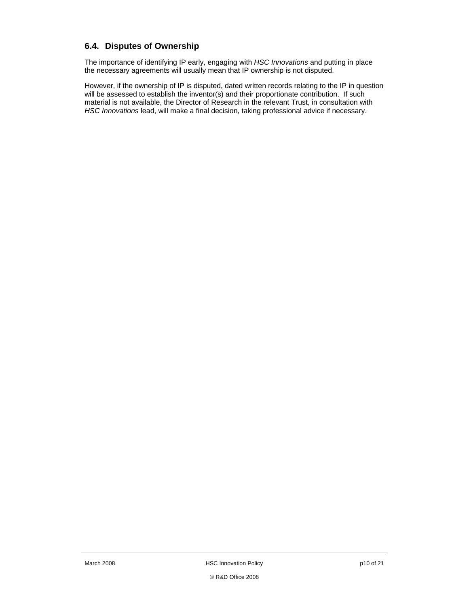#### **6.4. Disputes of Ownership**

The importance of identifying IP early, engaging with *HSC Innovations* and putting in place the necessary agreements will usually mean that IP ownership is not disputed.

However, if the ownership of IP is disputed, dated written records relating to the IP in question will be assessed to establish the inventor(s) and their proportionate contribution. If such material is not available, the Director of Research in the relevant Trust, in consultation with *HSC Innovations* lead, will make a final decision, taking professional advice if necessary.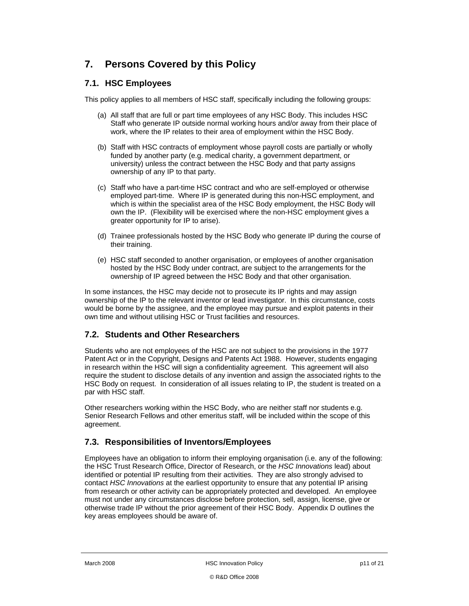## **7. Persons Covered by this Policy**

#### **7.1. HSC Employees**

This policy applies to all members of HSC staff, specifically including the following groups:

- (a) All staff that are full or part time employees of any HSC Body. This includes HSC Staff who generate IP outside normal working hours and/or away from their place of work, where the IP relates to their area of employment within the HSC Body.
- (b) Staff with HSC contracts of employment whose payroll costs are partially or wholly funded by another party (e.g. medical charity, a government department, or university) unless the contract between the HSC Body and that party assigns ownership of any IP to that party.
- (c) Staff who have a part-time HSC contract and who are self-employed or otherwise employed part-time. Where IP is generated during this non-HSC employment, and which is within the specialist area of the HSC Body employment, the HSC Body will own the IP. (Flexibility will be exercised where the non-HSC employment gives a greater opportunity for IP to arise).
- (d) Trainee professionals hosted by the HSC Body who generate IP during the course of their training.
- (e) HSC staff seconded to another organisation, or employees of another organisation hosted by the HSC Body under contract, are subject to the arrangements for the ownership of IP agreed between the HSC Body and that other organisation.

In some instances, the HSC may decide not to prosecute its IP rights and may assign ownership of the IP to the relevant inventor or lead investigator. In this circumstance, costs would be borne by the assignee, and the employee may pursue and exploit patents in their own time and without utilising HSC or Trust facilities and resources.

#### **7.2. Students and Other Researchers**

Students who are not employees of the HSC are not subject to the provisions in the 1977 Patent Act or in the Copyright, Designs and Patents Act 1988. However, students engaging in research within the HSC will sign a confidentiality agreement. This agreement will also require the student to disclose details of any invention and assign the associated rights to the HSC Body on request. In consideration of all issues relating to IP, the student is treated on a par with HSC staff.

Other researchers working within the HSC Body, who are neither staff nor students e.g. Senior Research Fellows and other emeritus staff, will be included within the scope of this agreement.

#### **7.3. Responsibilities of Inventors/Employees**

Employees have an obligation to inform their employing organisation (i.e. any of the following: the HSC Trust Research Office, Director of Research, or the *HSC Innovations* lead) about identified or potential IP resulting from their activities. They are also strongly advised to contact *HSC Innovations* at the earliest opportunity to ensure that any potential IP arising from research or other activity can be appropriately protected and developed. An employee must not under any circumstances disclose before protection, sell, assign, license, give or otherwise trade IP without the prior agreement of their HSC Body. Appendix D outlines the key areas employees should be aware of.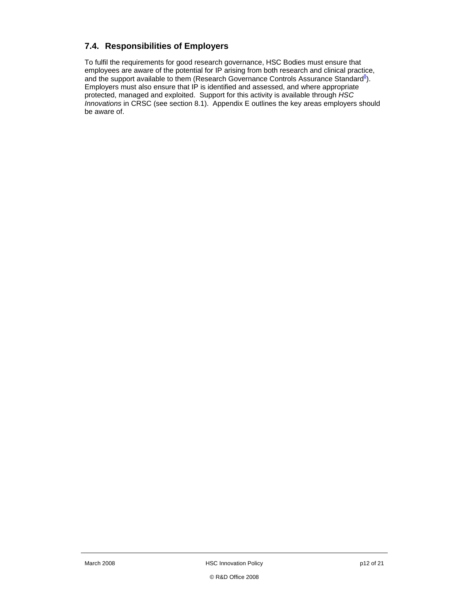#### **7.4. Responsibilities of Employers**

To fulfil the requirements for good research governance, HSC Bodies must ensure that employees are aware of the potential for IP arising from both research and clinical practice, and the support available to them (Research Governance Controls Assurance Standard $8$ ). Employers must also ensure that IP is identified and assessed, and where appropriate protected, managed and exploited. Support for this activity is available through *HSC Innovations* in CRSC (see section 8.1). Appendix E outlines the key areas employers should be aware of.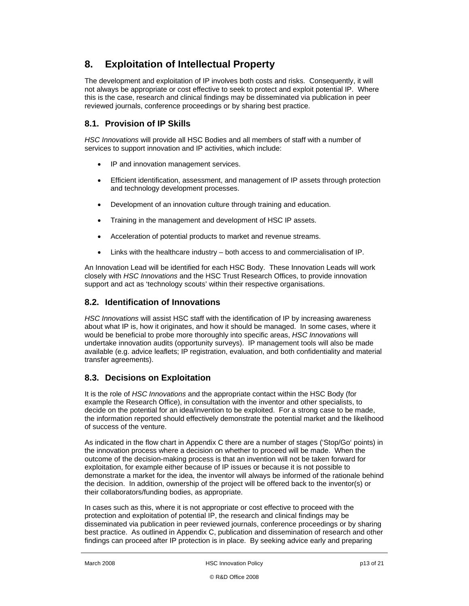### **8. Exploitation of Intellectual Property**

The development and exploitation of IP involves both costs and risks. Consequently, it will not always be appropriate or cost effective to seek to protect and exploit potential IP. Where this is the case, research and clinical findings may be disseminated via publication in peer reviewed journals, conference proceedings or by sharing best practice.

#### **8.1. Provision of IP Skills**

*HSC Innovations* will provide all HSC Bodies and all members of staff with a number of services to support innovation and IP activities, which include:

- IP and innovation management services.
- Efficient identification, assessment, and management of IP assets through protection and technology development processes.
- Development of an innovation culture through training and education.
- Training in the management and development of HSC IP assets.
- Acceleration of potential products to market and revenue streams.
- Links with the healthcare industry both access to and commercialisation of IP.

An Innovation Lead will be identified for each HSC Body. These Innovation Leads will work closely with *HSC Innovations* and the HSC Trust Research Offices, to provide innovation support and act as 'technology scouts' within their respective organisations.

#### **8.2. Identification of Innovations**

*HSC Innovations* will assist HSC staff with the identification of IP by increasing awareness about what IP is, how it originates, and how it should be managed. In some cases, where it would be beneficial to probe more thoroughly into specific areas, *HSC Innovations* will undertake innovation audits (opportunity surveys). IP management tools will also be made available (e.g. advice leaflets; IP registration, evaluation, and both confidentiality and material transfer agreements).

#### **8.3. Decisions on Exploitation**

It is the role of *HSC Innovations* and the appropriate contact within the HSC Body (for example the Research Office), in consultation with the inventor and other specialists, to decide on the potential for an idea/invention to be exploited. For a strong case to be made, the information reported should effectively demonstrate the potential market and the likelihood of success of the venture.

As indicated in the flow chart in Appendix C there are a number of stages ('Stop/Go' points) in the innovation process where a decision on whether to proceed will be made. When the outcome of the decision-making process is that an invention will not be taken forward for exploitation, for example either because of IP issues or because it is not possible to demonstrate a market for the idea, the inventor will always be informed of the rationale behind the decision. In addition, ownership of the project will be offered back to the inventor(s) or their collaborators/funding bodies, as appropriate.

In cases such as this, where it is not appropriate or cost effective to proceed with the protection and exploitation of potential IP, the research and clinical findings may be disseminated via publication in peer reviewed journals, conference proceedings or by sharing best practice. As outlined in Appendix C, publication and dissemination of research and other findings can proceed after IP protection is in place. By seeking advice early and preparing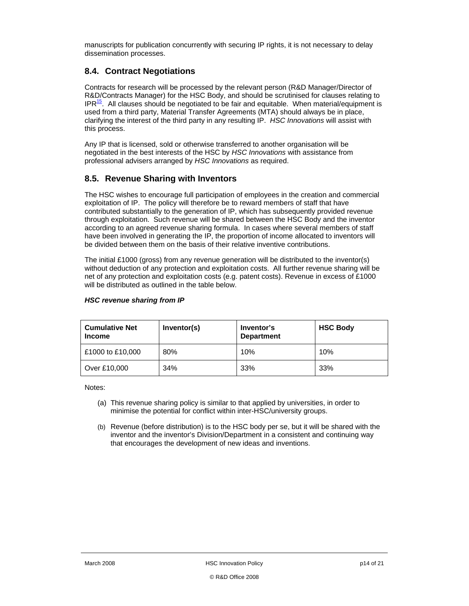manuscripts for publication concurrently with securing IP rights, it is not necessary to delay dissemination processes.

#### **8.4. Contract Negotiations**

Contracts for research will be processed by the relevant person (R&D Manager/Director of R&D/Contracts Manager) for the HSC Body, and should be scrutinised for clauses relating to  $IPR<sup>15</sup>$ . All clauses should be negotiated to be fair and equitable. When material/equipment is used from a third party, Material Transfer Agreements (MTA) should always be in place, clarifying the interest of the third party in any resulting IP. *HSC Innovations* will assist with this process.

Any IP that is licensed, sold or otherwise transferred to another organisation will be negotiated in the best interests of the HSC by *HSC Innovations* with assistance from professional advisers arranged by *HSC Innovations* as required.

#### **8.5. Revenue Sharing with Inventors**

The HSC wishes to encourage full participation of employees in the creation and commercial exploitation of IP. The policy will therefore be to reward members of staff that have contributed substantially to the generation of IP, which has subsequently provided revenue through exploitation. Such revenue will be shared between the HSC Body and the inventor according to an agreed revenue sharing formula. In cases where several members of staff have been involved in generating the IP, the proportion of income allocated to inventors will be divided between them on the basis of their relative inventive contributions.

The initial £1000 (gross) from any revenue generation will be distributed to the inventor(s) without deduction of any protection and exploitation costs. All further revenue sharing will be net of any protection and exploitation costs (e.g. patent costs). Revenue in excess of £1000 will be distributed as outlined in the table below.

| <b>Cumulative Net</b><br><b>Income</b> | Inventor(s) | Inventor's<br><b>Department</b> | <b>HSC Body</b> |
|----------------------------------------|-------------|---------------------------------|-----------------|
| £1000 to £10,000                       | 80%         | 10%                             | 10%             |
| Over £10,000                           | 34%         | 33%                             | 33%             |

#### *HSC revenue sharing from IP*

Notes:

- (a) This revenue sharing policy is similar to that applied by universities, in order to minimise the potential for conflict within inter-HSC/university groups.
- (b) Revenue (before distribution) is to the HSC body per se, but it will be shared with the inventor and the inventor's Division/Department in a consistent and continuing way that encourages the development of new ideas and inventions.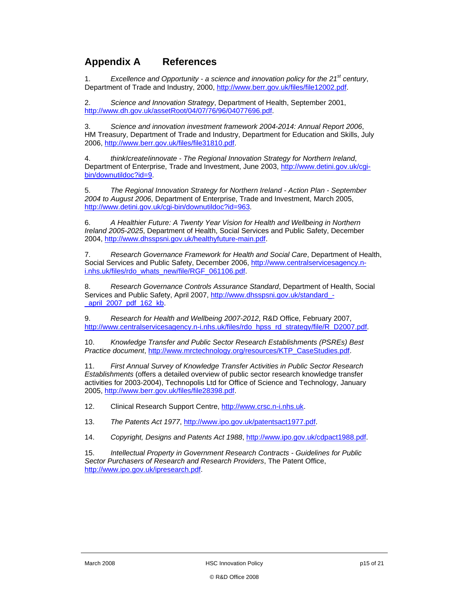### **Appendix A References**

1. *Excellence and Opportunity - a science and innovation policy for the 21st century*, Department of Trade and Industry, 2000, http://www.berr.gov.uk/files/file12002.pdf.

2. *Science and Innovation Strategy*, Department of Health, September 2001, http://www.dh.gov.uk/assetRoot/04/07/76/96/04077696.pdf.

3. *Science and innovation investment framework 2004-2014: Annual Report 2006*, HM Treasury, Department of Trade and Industry, Department for Education and Skills, July 2006, http://www.berr.gov.uk/files/file31810.pdf.

4. *thinkIcreateIinnovate - The Regional Innovation Strategy for Northern Ireland*, Department of Enterprise, Trade and Investment, June 2003, http://www.detini.gov.uk/cgibin/downutildoc?id=9.

5. *The Regional Innovation Strategy for Northern Ireland - Action Plan - September 2004 to August 2006*, Department of Enterprise, Trade and Investment, March 2005, http://www.detini.gov.uk/cgi-bin/downutildoc?id=963.

6. *A Healthier Future: A Twenty Year Vision for Health and Wellbeing in Northern Ireland 2005-2025*, Department of Health, Social Services and Public Safety, December 2004, http://www.dhsspsni.gov.uk/healthyfuture-main.pdf.

7. *Research Governance Framework for Health and Social Care*, Department of Health, Social Services and Public Safety, December 2006, http://www.centralservicesagency.ni.nhs.uk/files/rdo\_whats\_new/file/RGF\_061106.pdf.

8. *Research Governance Controls Assurance Standard*, Department of Health, Social Services and Public Safety, April 2007, http://www.dhsspsni.gov.uk/standard\_-\_april\_2007\_pdf\_162\_kb.

9. *Research for Health and Wellbeing 2007-2012*, R&D Office, February 2007, http://www.centralservicesagency.n-i.nhs.uk/files/rdo\_hpss\_rd\_strategy/file/R\_D2007.pdf.

10. *Knowledge Transfer and Public Sector Research Establishments (PSREs) Best Practice document*, http://www.mrctechnology.org/resources/KTP\_CaseStudies.pdf.

11. *First Annual Survey of Knowledge Transfer Activities in Public Sector Research Establishments* (offers a detailed overview of public sector research knowledge transfer activities for 2003-2004), Technopolis Ltd for Office of Science and Technology, January 2005, http://www.berr.gov.uk/files/file28398.pdf.

12. Clinical Research Support Centre, http://www.crsc.n-i.nhs.uk.

13. *The Patents Act 1977*, http://www.ipo.gov.uk/patentsact1977.pdf.

14. *Copyright, Designs and Patents Act 1988*, http://www.ipo.gov.uk/cdpact1988.pdf.

15. *Intellectual Property in Government Research Contracts - Guidelines for Public Sector Purchasers of Research and Research Providers*, The Patent Office, http://www.ipo.gov.uk/ipresearch.pdf.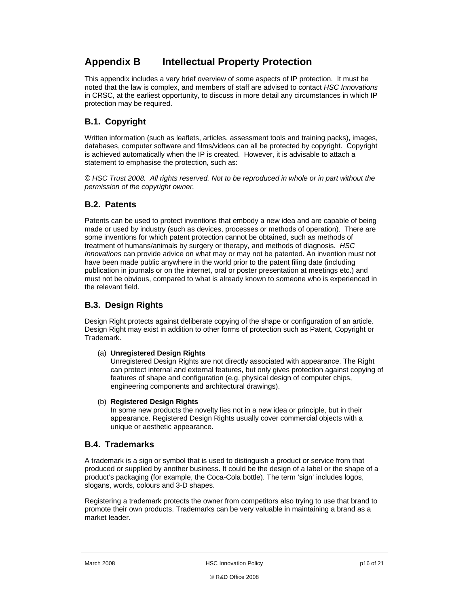### **Appendix B Intellectual Property Protection**

This appendix includes a very brief overview of some aspects of IP protection. It must be noted that the law is complex, and members of staff are advised to contact *HSC Innovations* in CRSC, at the earliest opportunity, to discuss in more detail any circumstances in which IP protection may be required.

### **B.1. Copyright**

Written information (such as leaflets, articles, assessment tools and training packs), images, databases, computer software and films/videos can all be protected by copyright. Copyright is achieved automatically when the IP is created. However, it is advisable to attach a statement to emphasise the protection, such as:

*© HSC Trust 2008. All rights reserved. Not to be reproduced in whole or in part without the permission of the copyright owner.* 

#### **B.2. Patents**

Patents can be used to protect inventions that embody a new idea and are capable of being made or used by industry (such as devices, processes or methods of operation). There are some inventions for which patent protection cannot be obtained, such as methods of treatment of humans/animals by surgery or therapy, and methods of diagnosis. *HSC Innovations* can provide advice on what may or may not be patented. An invention must not have been made public anywhere in the world prior to the patent filing date (including publication in journals or on the internet, oral or poster presentation at meetings etc.) and must not be obvious, compared to what is already known to someone who is experienced in the relevant field.

### **B.3. Design Rights**

Design Right protects against deliberate copying of the shape or configuration of an article. Design Right may exist in addition to other forms of protection such as Patent, Copyright or Trademark.

#### (a) **Unregistered Design Rights**

Unregistered Design Rights are not directly associated with appearance. The Right can protect internal and external features, but only gives protection against copying of features of shape and configuration (e.g. physical design of computer chips, engineering components and architectural drawings).

#### (b) **Registered Design Rights**

In some new products the novelty lies not in a new idea or principle, but in their appearance. Registered Design Rights usually cover commercial objects with a unique or aesthetic appearance.

#### **B.4. Trademarks**

A trademark is a sign or symbol that is used to distinguish a product or service from that produced or supplied by another business. It could be the design of a label or the shape of a product's packaging (for example, the Coca-Cola bottle). The term 'sign' includes logos, slogans, words, colours and 3-D shapes.

Registering a trademark protects the owner from competitors also trying to use that brand to promote their own products. Trademarks can be very valuable in maintaining a brand as a market leader.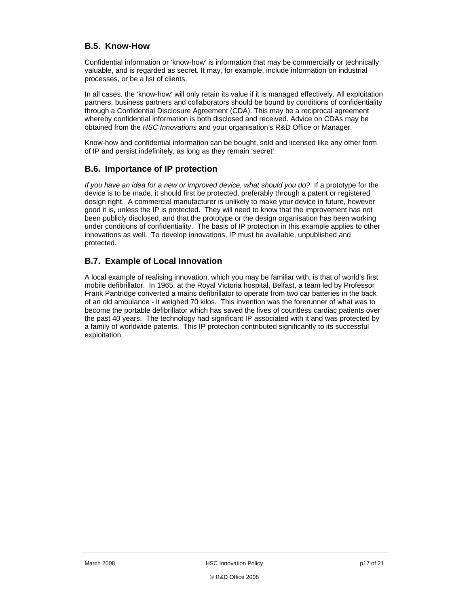#### **B.5. Know-How**

Confidential information or 'know-how' is information that may be commercially or technically valuable, and is regarded as secret. It may, for example, include information on industrial processes, or be a list of clients.

In all cases, the 'know-how' will only retain its value if it is managed effectively. All exploitation partners, business partners and collaborators should be bound by conditions of confidentiality through a Confidential Disclosure Agreement (CDA). This may be a reciprocal agreement whereby confidential information is both disclosed and received. Advice on CDAs may be obtained from the *HSC Innovations* and your organisation's R&D Office or Manager.

Know-how and confidential information can be bought, sold and licensed like any other form of IP and persist indefinitely, as long as they remain 'secret'.

#### **B.6. Importance of IP protection**

*If you have an idea for a new or improved device, what should you do?* If a prototype for the device is to be made, it should first be protected, preferably through a patent or registered design right. A commercial manufacturer is unlikely to make your device in future, however good it is, unless the IP is protected. They will need to know that the improvement has not been publicly disclosed, and that the prototype or the design organisation has been working under conditions of confidentiality. The basis of IP protection in this example applies to other innovations as well. To develop innovations, IP must be available, unpublished and protected.

#### **B.7. Example of Local Innovation**

A local example of realising innovation, which you may be familiar with, is that of world's first mobile defibrillator. In 1965, at the Royal Victoria hospital, Belfast, a team led by Professor Frank Pantridge converted a mains defibrillator to operate from two car batteries in the back of an old ambulance - it weighed 70 kilos. This invention was the forerunner of what was to become the portable defibrillator which has saved the lives of countless cardiac patients over the past 40 years. The technology had significant IP associated with it and was protected by a family of worldwide patents. This IP protection contributed significantly to its successful exploitation.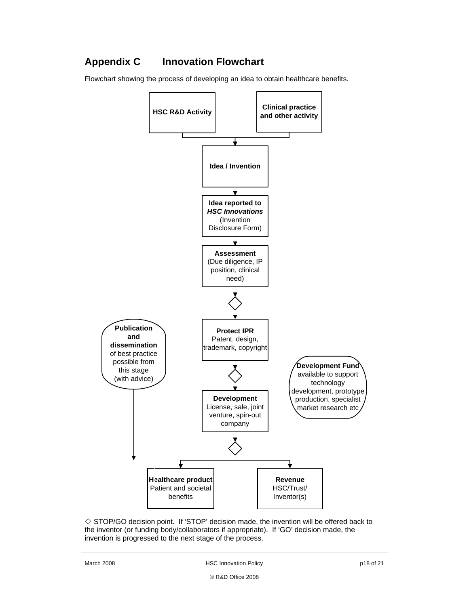# **Appendix C Innovation Flowchart**

Flowchart showing the process of developing an idea to obtain healthcare benefits.



 $\Diamond$  STOP/GO decision point. If 'STOP' decision made, the invention will be offered back to the inventor (or funding body/collaborators if appropriate). If 'GO' decision made, the invention is progressed to the next stage of the process.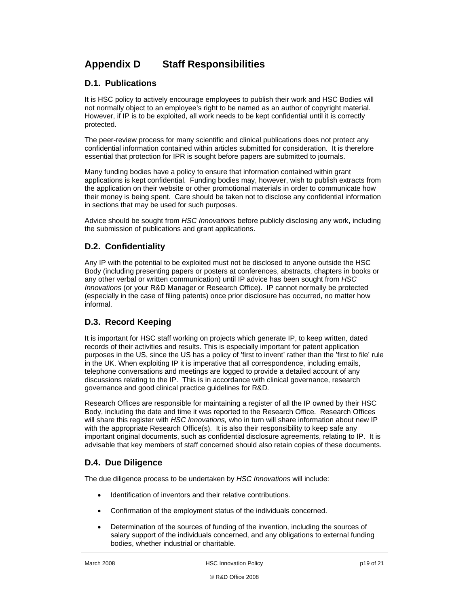## **Appendix D Staff Responsibilities**

#### **D.1. Publications**

It is HSC policy to actively encourage employees to publish their work and HSC Bodies will not normally object to an employee's right to be named as an author of copyright material. However, if IP is to be exploited, all work needs to be kept confidential until it is correctly protected.

The peer-review process for many scientific and clinical publications does not protect any confidential information contained within articles submitted for consideration. It is therefore essential that protection for IPR is sought before papers are submitted to journals.

Many funding bodies have a policy to ensure that information contained within grant applications is kept confidential. Funding bodies may, however, wish to publish extracts from the application on their website or other promotional materials in order to communicate how their money is being spent. Care should be taken not to disclose any confidential information in sections that may be used for such purposes.

Advice should be sought from *HSC Innovations* before publicly disclosing any work, including the submission of publications and grant applications.

#### **D.2. Confidentiality**

Any IP with the potential to be exploited must not be disclosed to anyone outside the HSC Body (including presenting papers or posters at conferences, abstracts, chapters in books or any other verbal or written communication) until IP advice has been sought from *HSC Innovations* (or your R&D Manager or Research Office). IP cannot normally be protected (especially in the case of filing patents) once prior disclosure has occurred, no matter how informal.

### **D.3. Record Keeping**

It is important for HSC staff working on projects which generate IP, to keep written, dated records of their activities and results. This is especially important for patent application purposes in the US, since the US has a policy of 'first to invent' rather than the 'first to file' rule in the UK. When exploiting IP it is imperative that all correspondence, including emails, telephone conversations and meetings are logged to provide a detailed account of any discussions relating to the IP. This is in accordance with clinical governance, research governance and good clinical practice guidelines for R&D.

Research Offices are responsible for maintaining a register of all the IP owned by their HSC Body, including the date and time it was reported to the Research Office. Research Offices will share this register with *HSC Innovations,* who in turn will share information about new IP with the appropriate Research Office(s). It is also their responsibility to keep safe any important original documents, such as confidential disclosure agreements, relating to IP. It is advisable that key members of staff concerned should also retain copies of these documents.

#### **D.4. Due Diligence**

The due diligence process to be undertaken by *HSC Innovations* will include:

- Identification of inventors and their relative contributions.
- Confirmation of the employment status of the individuals concerned.
- Determination of the sources of funding of the invention, including the sources of salary support of the individuals concerned, and any obligations to external funding bodies, whether industrial or charitable.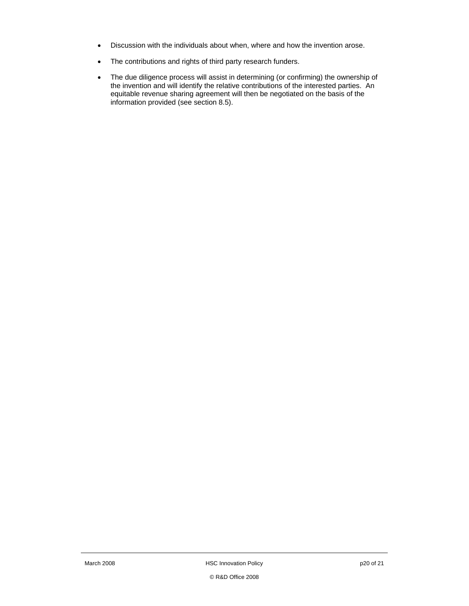- Discussion with the individuals about when, where and how the invention arose.
- The contributions and rights of third party research funders.
- The due diligence process will assist in determining (or confirming) the ownership of the invention and will identify the relative contributions of the interested parties. An equitable revenue sharing agreement will then be negotiated on the basis of the information provided (see section 8.5).